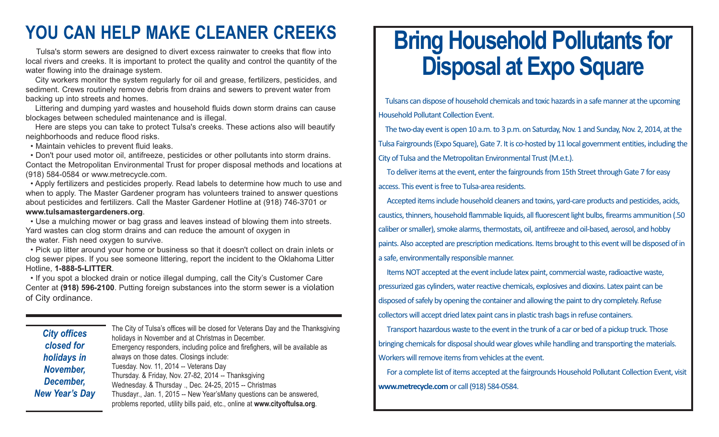## **YOU CAN HELP MAKE CLEANER CREEKS**

Tulsa's storm sewers are designed to divert excess rainwater to creeks that flow into local rivers and creeks. It is important to protect the quality and control the quantity of the water flowing into the drainage system.

City workers monitor the system regularly for oil and grease, fertilizers, pesticides, and sediment. Crews routinely remove debris from drains and sewers to prevent water from backing up into streets and homes.

Littering and dumping yard wastes and household fluids down storm drains can cause blockages between scheduled maintenance and is illegal.

Here are steps you can take to protect Tulsa's creeks. These actions also will beautify neighborhoods and reduce flood risks.

• Maintain vehicles to prevent fluid leaks.

• Don't pour used motor oil, antifreeze, pesticides or other pollutants into storm drains. Contact the Metropolitan Environmental Trust for proper disposal methods and locations at (918) 584-0584 or www.metrecycle.com.

• Apply fertilizers and pesticides properly. Read labels to determine how much to use and when to apply. The Master Gardener program has volunteers trained to answer questions about pesticides and fertilizers. Call the Master Gardener Hotline at (918) 746-3701 or **www.tulsamastergardeners.org**.

• Use a mulching mower or bag grass and leaves instead of blowing them into streets. Yard wastes can clog storm drains and can reduce the amount of oxygen in the water. Fish need oxygen to survive.

• Pick up litter around your home or business so that it doesn't collect on drain inlets or clog sewer pipes. If you see someone littering, report the incident to the Oklahoma Litter Hotline, **1-888-5-LITTER**.

• If you spot a blocked drain or notice illegal dumping, call the City's Customer Care Center at **(918) 596-2100**. Putting foreign substances into the storm sewer is a violation of City ordinance.

*City offices closed for holidays in November, December, New Year's Day* The City of Tulsa's offices will be closed for Veterans Day and the Thanksgiving holidays in November and at Christmas in December. Emergency responders, including police and firefighers, will be available as always on those dates. Closings include: Tuesday. Nov. 11, 2014 -- Veterans Day Thursday. & Friday, Nov. 27-82, 2014 -- Thanksgiving Wednesday. & Thursday ., Dec. 24-25, 2015 -- Christmas Thusdayr., Jan. 1, 2015 -- New Year'sMany questions can be answered, problems reported, utility bills paid, etc., online at **www.cityoftulsa.org**.

## **Bring Household Pollutants for Disposal at Expo Square**

Tulsans can dispose of household chemicals and toxic hazards in a safe manner at the upcoming Household Pollutant Collection Event.

The two-day event is open 10 a.m. to 3 p.m. on Saturday, Nov. 1 and Sunday, Nov. 2, 2014, at the Tulsa Fairgrounds (Expo Square), Gate 7. It is co-hosted by 11 local government entities, including the City of Tulsa and the Metropolitan Environmental Trust (M.e.t.).

To deliver items at the event, enter the fairgrounds from 15th Street through Gate 7 for easy access. This event is free to Tulsa-area residents.

Accepted items include household cleaners and toxins, yard-care products and pesticides, acids, caustics, thinners, household flammable liquids, all fluorescent light bulbs, firearms ammunition (.50 caliber or smaller), smoke alarms, thermostats, oil, antifreeze and oil-based, aerosol, and hobby paints. Also accepted are prescription medications. Items brought to this event will be disposed of in a safe, environmentally responsible manner.

Items NOT accepted at the event include latex paint, commercial waste, radioactive waste, pressurized gas cylinders, water reactive chemicals, explosives and dioxins. Latex paint can be disposed of safely by opening the container and allowing the paint to dry completely. Refuse collectors will accept dried latex paint cans in plastic trash bags in refuse containers.

Transport hazardous waste to the event in the trunk of a car or bed of a pickup truck. Those bringing chemicals for disposal should wear gloves while handling and transporting the materials. Workers will remove items from vehicles at the event.

For a complete list of items accepted at the fairgrounds Household Pollutant Collection Event, visit **www.metrecycle.com** or call (918) 584-0584.